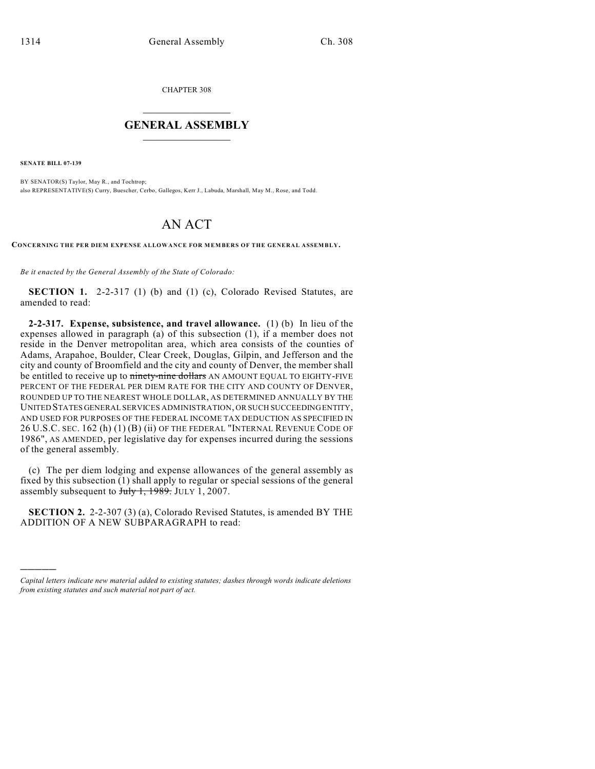CHAPTER 308

## $\overline{\phantom{a}}$  . The set of the set of the set of the set of the set of the set of the set of the set of the set of the set of the set of the set of the set of the set of the set of the set of the set of the set of the set o **GENERAL ASSEMBLY**  $\frac{1}{\sqrt{2}}$

**SENATE BILL 07-139**

)))))

BY SENATOR(S) Taylor, May R., and Tochtrop; also REPRESENTATIVE(S) Curry, Buescher, Cerbo, Gallegos, Kerr J., Labuda, Marshall, May M., Rose, and Todd.

## AN ACT

**CONCERNING THE PER DIEM EXPENSE ALLOWANCE FOR MEMBERS OF THE GENERAL ASSEMBLY.**

*Be it enacted by the General Assembly of the State of Colorado:*

**SECTION 1.** 2-2-317 (1) (b) and (1) (c), Colorado Revised Statutes, are amended to read:

**2-2-317. Expense, subsistence, and travel allowance.** (1) (b) In lieu of the expenses allowed in paragraph (a) of this subsection (1), if a member does not reside in the Denver metropolitan area, which area consists of the counties of Adams, Arapahoe, Boulder, Clear Creek, Douglas, Gilpin, and Jefferson and the city and county of Broomfield and the city and county of Denver, the member shall be entitled to receive up to ninety-nine dollars AN AMOUNT EQUAL TO EIGHTY-FIVE PERCENT OF THE FEDERAL PER DIEM RATE FOR THE CITY AND COUNTY OF DENVER, ROUNDED UP TO THE NEAREST WHOLE DOLLAR, AS DETERMINED ANNUALLY BY THE UNITED STATES GENERAL SERVICES ADMINISTRATION, OR SUCH SUCCEEDING ENTITY, AND USED FOR PURPOSES OF THE FEDERAL INCOME TAX DEDUCTION AS SPECIFIED IN 26 U.S.C. SEC. 162 (h) (1) (B) (ii) OF THE FEDERAL "INTERNAL REVENUE CODE OF 1986", AS AMENDED, per legislative day for expenses incurred during the sessions of the general assembly.

(c) The per diem lodging and expense allowances of the general assembly as fixed by this subsection (1) shall apply to regular or special sessions of the general assembly subsequent to  $\frac{\text{July }1, 1989.}{1001}$  JULY 1, 2007.

**SECTION 2.** 2-2-307 (3) (a), Colorado Revised Statutes, is amended BY THE ADDITION OF A NEW SUBPARAGRAPH to read:

*Capital letters indicate new material added to existing statutes; dashes through words indicate deletions from existing statutes and such material not part of act.*